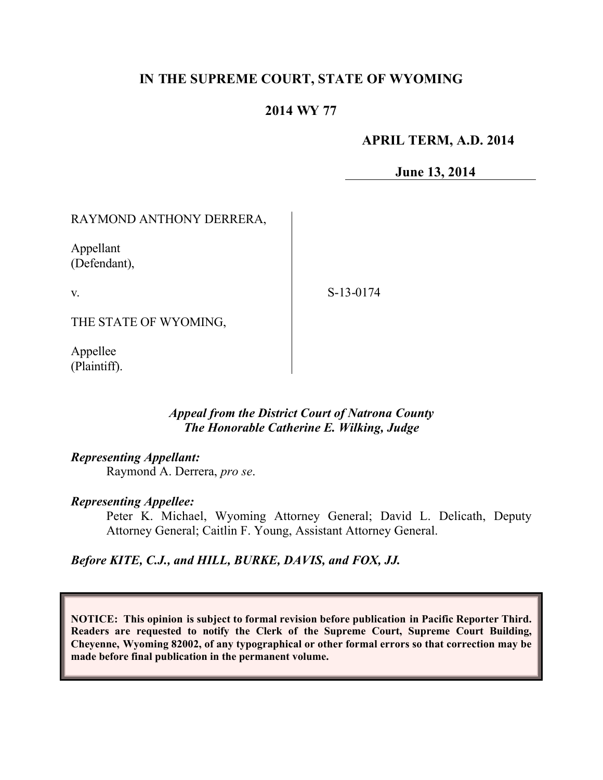# **IN THE SUPREME COURT, STATE OF WYOMING**

## **2014 WY 77**

### **APRIL TERM, A.D. 2014**

**June 13, 2014**

# RAYMOND ANTHONY DERRERA,

Appellant (Defendant),

v.

S-13-0174

THE STATE OF WYOMING,

Appellee (Plaintiff).

### *Appeal from the District Court of Natrona County The Honorable Catherine E. Wilking, Judge*

### *Representing Appellant:*

Raymond A. Derrera, *pro se*.

#### *Representing Appellee:*

Peter K. Michael, Wyoming Attorney General; David L. Delicath, Deputy Attorney General; Caitlin F. Young, Assistant Attorney General.

*Before KITE, C.J., and HILL, BURKE, DAVIS, and FOX, JJ.*

**NOTICE: This opinion is subject to formal revision before publication in Pacific Reporter Third. Readers are requested to notify the Clerk of the Supreme Court, Supreme Court Building, Cheyenne, Wyoming 82002, of any typographical or other formal errors so that correction may be made before final publication in the permanent volume.**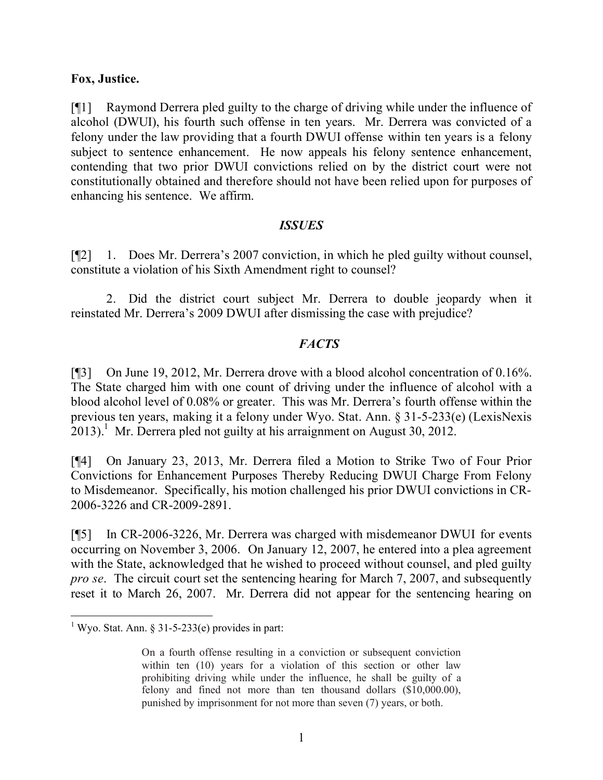#### **Fox, Justice.**

[¶1] Raymond Derrera pled guilty to the charge of driving while under the influence of alcohol (DWUI), his fourth such offense in ten years. Mr. Derrera was convicted of a felony under the law providing that a fourth DWUI offense within ten years is a felony subject to sentence enhancement. He now appeals his felony sentence enhancement, contending that two prior DWUI convictions relied on by the district court were not constitutionally obtained and therefore should not have been relied upon for purposes of enhancing his sentence. We affirm.

### *ISSUES*

[¶2] 1. Does Mr. Derrera's 2007 conviction, in which he pled guilty without counsel, constitute a violation of his Sixth Amendment right to counsel?

2. Did the district court subject Mr. Derrera to double jeopardy when it reinstated Mr. Derrera's 2009 DWUI after dismissing the case with prejudice?

### *FACTS*

[¶3] On June 19, 2012, Mr. Derrera drove with a blood alcohol concentration of 0.16%. The State charged him with one count of driving under the influence of alcohol with a blood alcohol level of 0.08% or greater. This was Mr. Derrera's fourth offense within the previous ten years, making it a felony under Wyo. Stat. Ann. § 31-5-233(e) (LexisNexis  $2013$ .<sup>1</sup> Mr. Derrera pled not guilty at his arraignment on August 30, 2012.

[¶4] On January 23, 2013, Mr. Derrera filed a Motion to Strike Two of Four Prior Convictions for Enhancement Purposes Thereby Reducing DWUI Charge From Felony to Misdemeanor. Specifically, his motion challenged his prior DWUI convictions in CR-2006-3226 and CR-2009-2891.

[¶5] In CR-2006-3226, Mr. Derrera was charged with misdemeanor DWUI for events occurring on November 3, 2006. On January 12, 2007, he entered into a plea agreement with the State, acknowledged that he wished to proceed without counsel, and pled guilty *pro se*. The circuit court set the sentencing hearing for March 7, 2007, and subsequently reset it to March 26, 2007. Mr. Derrera did not appear for the sentencing hearing on

 $\overline{a}$ 

<sup>&</sup>lt;sup>1</sup> Wyo. Stat. Ann. § 31-5-233(e) provides in part:

On a fourth offense resulting in a conviction or subsequent conviction within ten (10) years for a violation of this section or other law prohibiting driving while under the influence, he shall be guilty of a felony and fined not more than ten thousand dollars (\$10,000.00), punished by imprisonment for not more than seven (7) years, or both.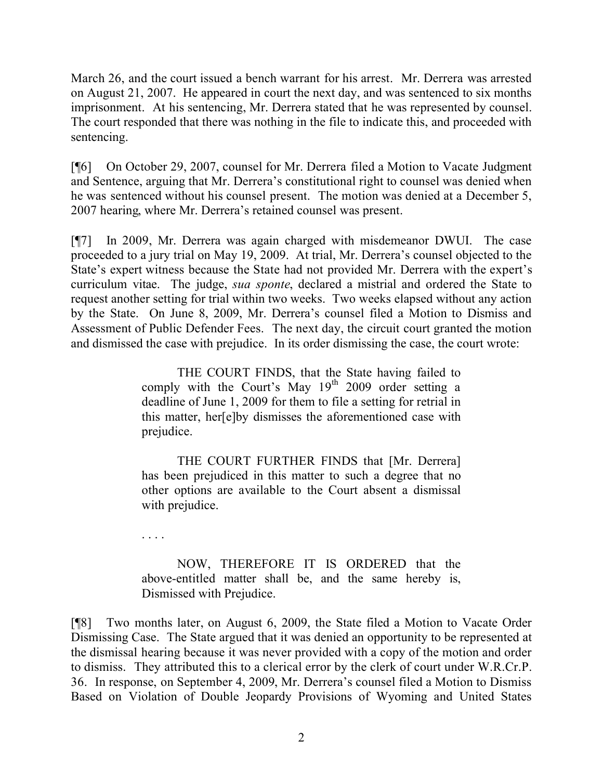March 26, and the court issued a bench warrant for his arrest. Mr. Derrera was arrested on August 21, 2007. He appeared in court the next day, and was sentenced to six months imprisonment. At his sentencing, Mr. Derrera stated that he was represented by counsel. The court responded that there was nothing in the file to indicate this, and proceeded with sentencing.

[¶6] On October 29, 2007, counsel for Mr. Derrera filed a Motion to Vacate Judgment and Sentence, arguing that Mr. Derrera's constitutional right to counsel was denied when he was sentenced without his counsel present. The motion was denied at a December 5, 2007 hearing, where Mr. Derrera's retained counsel was present.

[¶7] In 2009, Mr. Derrera was again charged with misdemeanor DWUI. The case proceeded to a jury trial on May 19, 2009. At trial, Mr. Derrera's counsel objected to the State's expert witness because the State had not provided Mr. Derrera with the expert's curriculum vitae. The judge, *sua sponte*, declared a mistrial and ordered the State to request another setting for trial within two weeks. Two weeks elapsed without any action by the State. On June 8, 2009, Mr. Derrera's counsel filed a Motion to Dismiss and Assessment of Public Defender Fees. The next day, the circuit court granted the motion and dismissed the case with prejudice. In its order dismissing the case, the court wrote:

> THE COURT FINDS, that the State having failed to comply with the Court's May  $19<sup>th</sup>$  2009 order setting a deadline of June 1, 2009 for them to file a setting for retrial in this matter, her[e]by dismisses the aforementioned case with prejudice.

> THE COURT FURTHER FINDS that [Mr. Derrera] has been prejudiced in this matter to such a degree that no other options are available to the Court absent a dismissal with prejudice.

. . . .

NOW, THEREFORE IT IS ORDERED that the above-entitled matter shall be, and the same hereby is, Dismissed with Prejudice.

[¶8] Two months later, on August 6, 2009, the State filed a Motion to Vacate Order Dismissing Case. The State argued that it was denied an opportunity to be represented at the dismissal hearing because it was never provided with a copy of the motion and order to dismiss. They attributed this to a clerical error by the clerk of court under W.R.Cr.P. 36. In response, on September 4, 2009, Mr. Derrera's counsel filed a Motion to Dismiss Based on Violation of Double Jeopardy Provisions of Wyoming and United States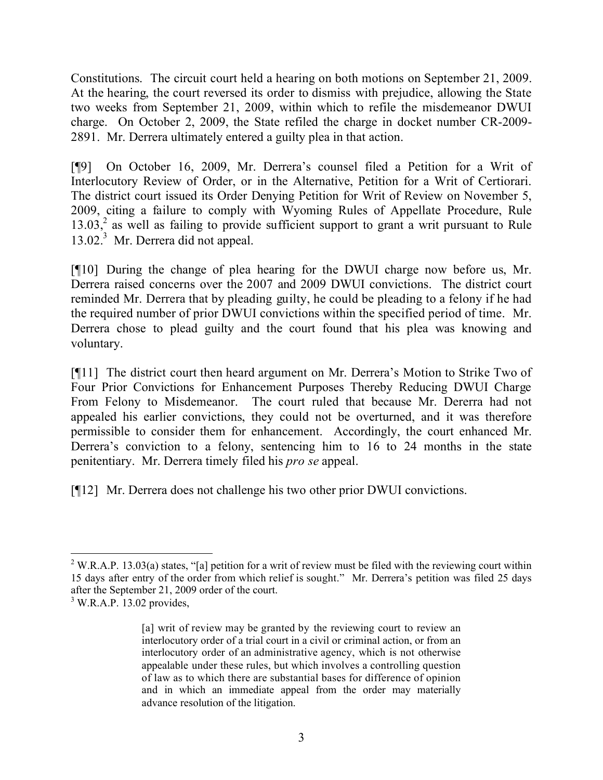Constitutions. The circuit court held a hearing on both motions on September 21, 2009. At the hearing, the court reversed its order to dismiss with prejudice, allowing the State two weeks from September 21, 2009, within which to refile the misdemeanor DWUI charge. On October 2, 2009, the State refiled the charge in docket number CR-2009- 2891. Mr. Derrera ultimately entered a guilty plea in that action.

[¶9] On October 16, 2009, Mr. Derrera's counsel filed a Petition for a Writ of Interlocutory Review of Order, or in the Alternative, Petition for a Writ of Certiorari. The district court issued its Order Denying Petition for Writ of Review on November 5, 2009, citing a failure to comply with Wyoming Rules of Appellate Procedure, Rule  $13.03<sup>2</sup>$  as well as failing to provide sufficient support to grant a writ pursuant to Rule 13.02<sup>3</sup> Mr. Derrera did not appeal.

[¶10] During the change of plea hearing for the DWUI charge now before us, Mr. Derrera raised concerns over the 2007 and 2009 DWUI convictions. The district court reminded Mr. Derrera that by pleading guilty, he could be pleading to a felony if he had the required number of prior DWUI convictions within the specified period of time. Mr. Derrera chose to plead guilty and the court found that his plea was knowing and voluntary.

[¶11] The district court then heard argument on Mr. Derrera's Motion to Strike Two of Four Prior Convictions for Enhancement Purposes Thereby Reducing DWUI Charge From Felony to Misdemeanor. The court ruled that because Mr. Dererra had not appealed his earlier convictions, they could not be overturned, and it was therefore permissible to consider them for enhancement. Accordingly, the court enhanced Mr. Derrera's conviction to a felony, sentencing him to 16 to 24 months in the state penitentiary. Mr. Derrera timely filed his *pro se* appeal.

[¶12] Mr. Derrera does not challenge his two other prior DWUI convictions.

 $\overline{a}$ 

<sup>&</sup>lt;sup>2</sup> W.R.A.P. 13.03(a) states, "[a] petition for a writ of review must be filed with the reviewing court within 15 days after entry of the order from which relief is sought." Mr. Derrera's petition was filed 25 days after the September 21, 2009 order of the court.

 $3$  W.R.A.P. 13.02 provides,

<sup>[</sup>a] writ of review may be granted by the reviewing court to review an interlocutory order of a trial court in a civil or criminal action, or from an interlocutory order of an administrative agency, which is not otherwise appealable under these rules, but which involves a controlling question of law as to which there are substantial bases for difference of opinion and in which an immediate appeal from the order may materially advance resolution of the litigation.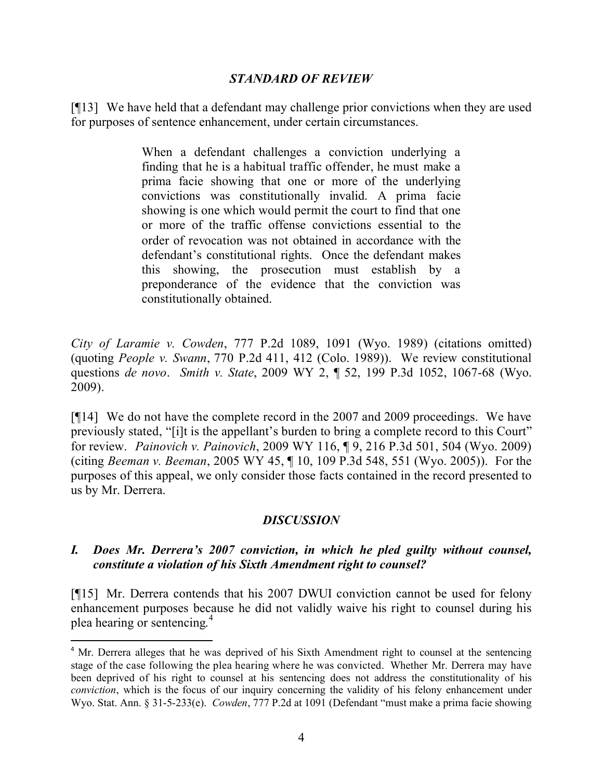#### *STANDARD OF REVIEW*

[¶13] We have held that a defendant may challenge prior convictions when they are used for purposes of sentence enhancement, under certain circumstances.

> When a defendant challenges a conviction underlying a finding that he is a habitual traffic offender, he must make a prima facie showing that one or more of the underlying convictions was constitutionally invalid. A prima facie showing is one which would permit the court to find that one or more of the traffic offense convictions essential to the order of revocation was not obtained in accordance with the defendant's constitutional rights. Once the defendant makes this showing, the prosecution must establish by a preponderance of the evidence that the conviction was constitutionally obtained.

*City of Laramie v. Cowden*, 777 P.2d 1089, 1091 (Wyo. 1989) (citations omitted) (quoting *People v. Swann*, 770 P.2d 411, 412 (Colo. 1989)). We review constitutional questions *de novo*. *Smith v. State*, 2009 WY 2, ¶ 52, 199 P.3d 1052, 1067-68 (Wyo. 2009).

[¶14] We do not have the complete record in the 2007 and 2009 proceedings. We have previously stated, "[i]t is the appellant's burden to bring a complete record to this Court" for review. *Painovich v. Painovich*, 2009 WY 116, ¶ 9, 216 P.3d 501, 504 (Wyo. 2009) (citing *Beeman v. Beeman*, 2005 WY 45, ¶ 10, 109 P.3d 548, 551 (Wyo. 2005)). For the purposes of this appeal, we only consider those facts contained in the record presented to us by Mr. Derrera.

## *DISCUSSION*

## *I. Does Mr. Derrera's 2007 conviction, in which he pled guilty without counsel, constitute a violation of his Sixth Amendment right to counsel?*

[¶15] Mr. Derrera contends that his 2007 DWUI conviction cannot be used for felony enhancement purposes because he did not validly waive his right to counsel during his plea hearing or sentencing.<sup>4</sup>

j

<sup>&</sup>lt;sup>4</sup> Mr. Derrera alleges that he was deprived of his Sixth Amendment right to counsel at the sentencing stage of the case following the plea hearing where he was convicted. Whether Mr. Derrera may have been deprived of his right to counsel at his sentencing does not address the constitutionality of his *conviction*, which is the focus of our inquiry concerning the validity of his felony enhancement under Wyo. Stat. Ann. § 31-5-233(e). *Cowden*, 777 P.2d at 1091 (Defendant "must make a prima facie showing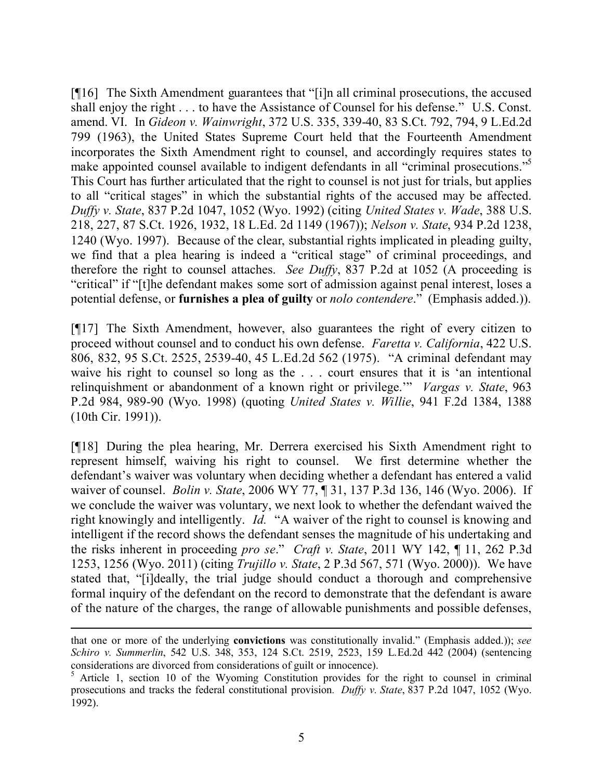[¶16] The Sixth Amendment guarantees that "[i]n all criminal prosecutions, the accused shall enjoy the right . . . to have the Assistance of Counsel for his defense." U.S. Const. amend. VI. In *Gideon v. Wainwright*, 372 U.S. 335, 339-40, 83 S.Ct. 792, 794, 9 L.Ed.2d 799 (1963), the United States Supreme Court held that the Fourteenth Amendment incorporates the Sixth Amendment right to counsel, and accordingly requires states to make appointed counsel available to indigent defendants in all "criminal prosecutions."<sup>5</sup> This Court has further articulated that the right to counsel is not just for trials, but applies to all "critical stages" in which the substantial rights of the accused may be affected. *Duffy v. State*, 837 P.2d 1047, 1052 (Wyo. 1992) (citing *United States v. Wade*, 388 U.S. 218, 227, 87 S.Ct. 1926, 1932, 18 L.Ed. 2d 1149 (1967)); *Nelson v. State*, 934 P.2d 1238, 1240 (Wyo. 1997). Because of the clear, substantial rights implicated in pleading guilty, we find that a plea hearing is indeed a "critical stage" of criminal proceedings, and therefore the right to counsel attaches. *See Duffy*, 837 P.2d at 1052 (A proceeding is "critical" if "[t]he defendant makes some sort of admission against penal interest, loses a potential defense, or **furnishes a plea of guilty** or *nolo contendere*." (Emphasis added.)).

[¶17] The Sixth Amendment, however, also guarantees the right of every citizen to proceed without counsel and to conduct his own defense. *Faretta v. California*, 422 U.S. 806, 832, 95 S.Ct. 2525, 2539-40, 45 L.Ed.2d 562 (1975). "A criminal defendant may waive his right to counsel so long as the . . . court ensures that it is 'an intentional relinquishment or abandonment of a known right or privilege.'" *Vargas v. State*, 963 P.2d 984, 989-90 (Wyo. 1998) (quoting *United States v. Willie*, 941 F.2d 1384, 1388 (10th Cir. 1991)).

[¶18] During the plea hearing, Mr. Derrera exercised his Sixth Amendment right to represent himself, waiving his right to counsel. We first determine whether the defendant's waiver was voluntary when deciding whether a defendant has entered a valid waiver of counsel. *Bolin v. State*, 2006 WY 77, ¶ 31, 137 P.3d 136, 146 (Wyo. 2006). If we conclude the waiver was voluntary, we next look to whether the defendant waived the right knowingly and intelligently. *Id.* "A waiver of the right to counsel is knowing and intelligent if the record shows the defendant senses the magnitude of his undertaking and the risks inherent in proceeding *pro se*." *Craft v. State*, 2011 WY 142, ¶ 11, 262 P.3d 1253, 1256 (Wyo. 2011) (citing *Trujillo v. State*, 2 P.3d 567, 571 (Wyo. 2000)). We have stated that, "[i]deally, the trial judge should conduct a thorough and comprehensive formal inquiry of the defendant on the record to demonstrate that the defendant is aware of the nature of the charges, the range of allowable punishments and possible defenses,

j

that one or more of the underlying **convictions** was constitutionally invalid." (Emphasis added.)); *see Schiro v. Summerlin*, 542 U.S. 348, 353, 124 S.Ct. 2519, 2523, 159 L.Ed.2d 442 (2004) (sentencing considerations are divorced from considerations of guilt or innocence).

<sup>&</sup>lt;sup>5</sup> Article 1, section 10 of the Wyoming Constitution provides for the right to counsel in criminal prosecutions and tracks the federal constitutional provision*. Duffy v. State*, 837 P.2d 1047, 1052 (Wyo. 1992).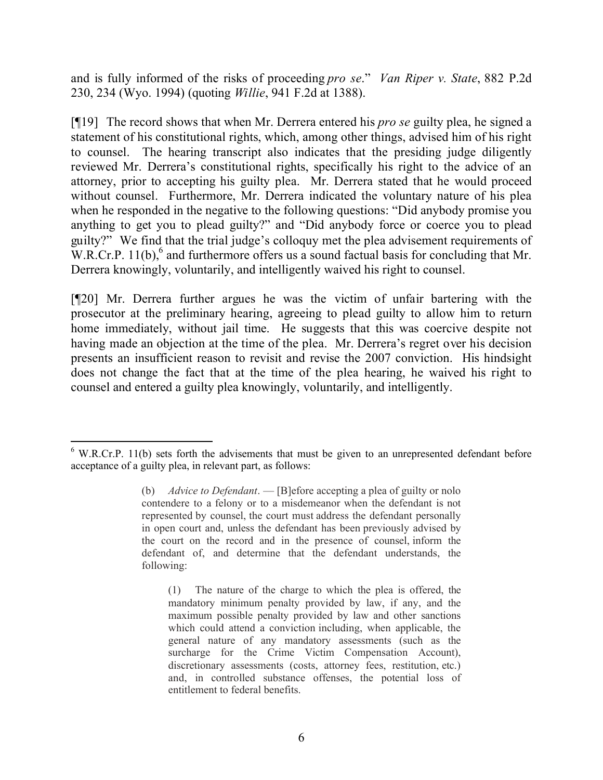and is fully informed of the risks of proceeding *pro se*." *Van Riper v. State*, 882 P.2d 230, 234 (Wyo. 1994) (quoting *Willie*, 941 F.2d at 1388).

[¶19] The record shows that when Mr. Derrera entered his *pro se* guilty plea, he signed a statement of his constitutional rights, which, among other things, advised him of his right to counsel. The hearing transcript also indicates that the presiding judge diligently reviewed Mr. Derrera's constitutional rights, specifically his right to the advice of an attorney, prior to accepting his guilty plea. Mr. Derrera stated that he would proceed without counsel. Furthermore, Mr. Derrera indicated the voluntary nature of his plea when he responded in the negative to the following questions: "Did anybody promise you anything to get you to plead guilty?" and "Did anybody force or coerce you to plead guilty?" We find that the trial judge's colloquy met the plea advisement requirements of W.R.Cr.P. 11(b),<sup>6</sup> and furthermore offers us a sound factual basis for concluding that Mr. Derrera knowingly, voluntarily, and intelligently waived his right to counsel.

[¶20] Mr. Derrera further argues he was the victim of unfair bartering with the prosecutor at the preliminary hearing, agreeing to plead guilty to allow him to return home immediately, without jail time. He suggests that this was coercive despite not having made an objection at the time of the plea. Mr. Derrera's regret over his decision presents an insufficient reason to revisit and revise the 2007 conviction. His hindsight does not change the fact that at the time of the plea hearing, he waived his right to counsel and entered a guilty plea knowingly, voluntarily, and intelligently.

j

<sup>&</sup>lt;sup>6</sup> W.R.Cr.P. 11(b) sets forth the advisements that must be given to an unrepresented defendant before acceptance of a guilty plea, in relevant part, as follows:

<sup>(</sup>b) *Advice to Defendant*. — [B]efore accepting a plea of guilty or nolo contendere to a felony or to a misdemeanor when the defendant is not represented by counsel, the court must address the defendant personally in open court and, unless the defendant has been previously advised by the court on the record and in the presence of counsel, inform the defendant of, and determine that the defendant understands, the following:

<sup>(1)</sup> The nature of the charge to which the plea is offered, the mandatory minimum penalty provided by law, if any, and the maximum possible penalty provided by law and other sanctions which could attend a conviction including, when applicable, the general nature of any mandatory assessments (such as the surcharge for the Crime Victim Compensation Account), discretionary assessments (costs, attorney fees, restitution, etc.) and, in controlled substance offenses, the potential loss of entitlement to federal benefits.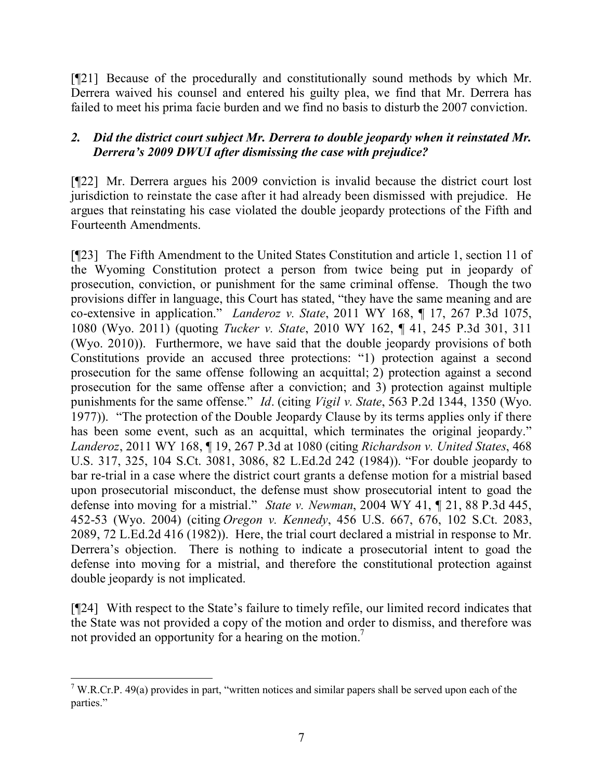[¶21] Because of the procedurally and constitutionally sound methods by which Mr. Derrera waived his counsel and entered his guilty plea, we find that Mr. Derrera has failed to meet his prima facie burden and we find no basis to disturb the 2007 conviction.

## *2. Did the district court subject Mr. Derrera to double jeopardy when it reinstated Mr. Derrera's 2009 DWUI after dismissing the case with prejudice?*

[¶22] Mr. Derrera argues his 2009 conviction is invalid because the district court lost jurisdiction to reinstate the case after it had already been dismissed with prejudice. He argues that reinstating his case violated the double jeopardy protections of the Fifth and Fourteenth Amendments.

[¶23] The Fifth Amendment to the United States Constitution and article 1, section 11 of the Wyoming Constitution protect a person from twice being put in jeopardy of prosecution, conviction, or punishment for the same criminal offense. Though the two provisions differ in language, this Court has stated, "they have the same meaning and are co-extensive in application." *Landeroz v. State*, 2011 WY 168, ¶ 17, 267 P.3d 1075, 1080 (Wyo. 2011) (quoting *Tucker v. State*, 2010 WY 162, ¶ 41, 245 P.3d 301, 311 (Wyo. 2010)). Furthermore, we have said that the double jeopardy provisions of both Constitutions provide an accused three protections: "1) protection against a second prosecution for the same offense following an acquittal; 2) protection against a second prosecution for the same offense after a conviction; and 3) protection against multiple punishments for the same offense." *Id*. (citing *Vigil v. State*, 563 P.2d 1344, 1350 (Wyo. 1977)). "The protection of the Double Jeopardy Clause by its terms applies only if there has been some event, such as an acquittal, which terminates the original jeopardy." *Landeroz*, 2011 WY 168, ¶ 19, 267 P.3d at 1080 (citing *Richardson v. United States*, 468 U.S. 317, 325, 104 S.Ct. 3081, 3086, 82 L.Ed.2d 242 (1984)). "For double jeopardy to bar re-trial in a case where the district court grants a defense motion for a mistrial based upon prosecutorial misconduct, the defense must show prosecutorial intent to goad the defense into moving for a mistrial." *State v. Newman*, 2004 WY 41, ¶ 21, 88 P.3d 445, 452-53 (Wyo. 2004) (citing *Oregon v. Kennedy*, 456 U.S. 667, 676, 102 S.Ct. 2083, 2089, 72 L.Ed.2d 416 (1982)). Here, the trial court declared a mistrial in response to Mr. Derrera's objection. There is nothing to indicate a prosecutorial intent to goad the defense into moving for a mistrial, and therefore the constitutional protection against double jeopardy is not implicated.

[¶24] With respect to the State's failure to timely refile, our limited record indicates that the State was not provided a copy of the motion and order to dismiss, and therefore was not provided an opportunity for a hearing on the motion.<sup>7</sup>

 $\overline{a}$ <sup>7</sup> W.R.Cr.P. 49(a) provides in part, "written notices and similar papers shall be served upon each of the parties."